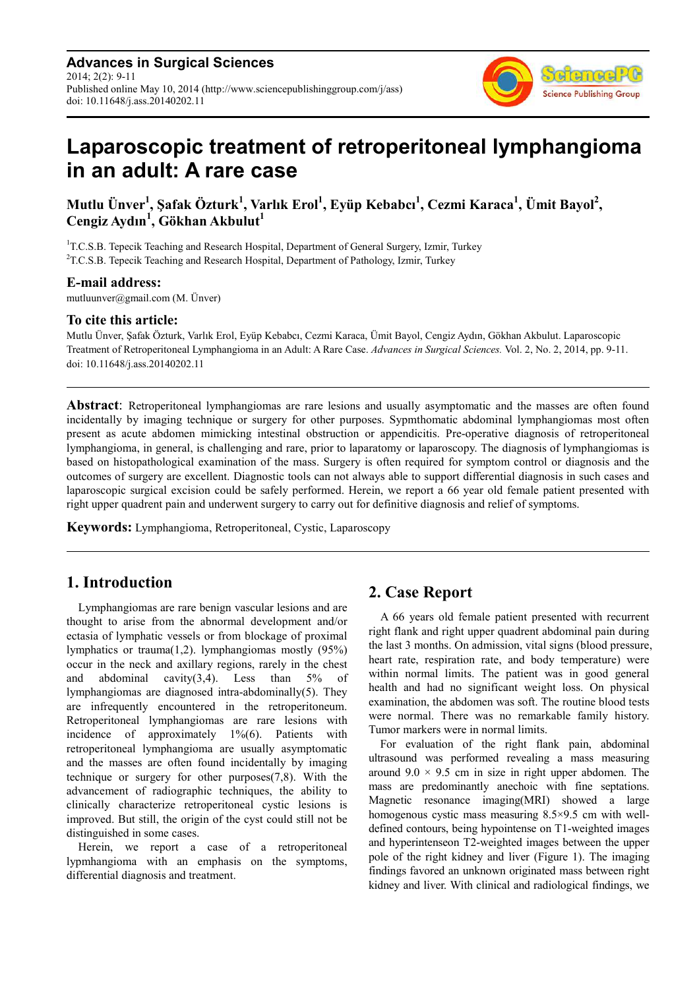**Advances in Surgical Sciences** 2014; 2(2): 9-11 Published online May 10, 2014 (http://www.sciencepublishinggroup.com/j/ass) doi: 10.11648/j.ass.20140202.11



# **Laparoscopic treatment of retroperitoneal lymphangioma in an adult: A rare case**

**Mutlu Ünver<sup>1</sup> , Şafak Özturk<sup>1</sup> , Varlık Erol<sup>1</sup> , Eyüp Kebabcı<sup>1</sup> , Cezmi Karaca<sup>1</sup> , Ümit Bayol<sup>2</sup> , Cengiz Aydın<sup>1</sup> , Gökhan Akbulut<sup>1</sup>**

<sup>1</sup>T.C.S.B. Tepecik Teaching and Research Hospital, Department of General Surgery, Izmir, Turkey  ${}^{2}$ T.C.S.B. Tepecik Teaching and Research Hospital, Department of Pathology, Izmir, Turkey

#### **E-mail address:**

mutluunver@gmail.com (M. Ünver)

#### **To cite this article:**

Mutlu Ünver, Şafak Özturk, Varlık Erol, Eyüp Kebabcı, Cezmi Karaca, Ümit Bayol, Cengiz Aydın, Gökhan Akbulut. Laparoscopic Treatment of Retroperitoneal Lymphangioma in an Adult: A Rare Case. *Advances in Surgical Sciences.* Vol. 2, No. 2, 2014, pp. 9-11. doi: 10.11648/j.ass.20140202.11

**Abstract**: Retroperitoneal lymphangiomas are rare lesions and usually asymptomatic and the masses are often found incidentally by imaging technique or surgery for other purposes. Sypmthomatic abdominal lymphangiomas most often present as acute abdomen mimicking intestinal obstruction or appendicitis. Pre-operative diagnosis of retroperitoneal lymphangioma, in general, is challenging and rare, prior to laparatomy or laparoscopy. The diagnosis of lymphangiomas is based on histopathological examination of the mass. Surgery is often required for symptom control or diagnosis and the outcomes of surgery are excellent. Diagnostic tools can not always able to support differential diagnosis in such cases and laparoscopic surgical excision could be safely performed. Herein, we report a 66 year old female patient presented with right upper quadrent pain and underwent surgery to carry out for definitive diagnosis and relief of symptoms.

**Keywords:** Lymphangioma, Retroperitoneal, Cystic, Laparoscopy

## **1. Introduction**

Lymphangiomas are rare benign vascular lesions and are thought to arise from the abnormal development and/or ectasia of lymphatic vessels or from blockage of proximal lymphatics or trauma(1,2). lymphangiomas mostly (95%) occur in the neck and axillary regions, rarely in the chest and abdominal cavity $(3,4)$ . Less than  $5\%$  of lymphangiomas are diagnosed intra-abdominally(5). They are infrequently encountered in the retroperitoneum. Retroperitoneal lymphangiomas are rare lesions with incidence of approximately 1%(6). Patients with retroperitoneal lymphangioma are usually asymptomatic and the masses are often found incidentally by imaging technique or surgery for other purposes(7,8). With the advancement of radiographic techniques, the ability to clinically characterize retroperitoneal cystic lesions is improved. But still, the origin of the cyst could still not be distinguished in some cases.

Herein, we report a case of a retroperitoneal lypmhangioma with an emphasis on the symptoms, differential diagnosis and treatment.

## **2. Case Report**

A 66 years old female patient presented with recurrent right flank and right upper quadrent abdominal pain during the last 3 months. On admission, vital signs (blood pressure, heart rate, respiration rate, and body temperature) were within normal limits. The patient was in good general health and had no significant weight loss. On physical examination, the abdomen was soft. The routine blood tests were normal. There was no remarkable family history. Tumor markers were in normal limits.

For evaluation of the right flank pain, abdominal ultrasound was performed revealing a mass measuring around  $9.0 \times 9.5$  cm in size in right upper abdomen. The mass are predominantly anechoic with fine septations. Magnetic resonance imaging(MRI) showed a large homogenous cystic mass measuring 8.5×9.5 cm with welldefined contours, being hypointense on T1-weighted images and hyperintenseon T2-weighted images between the upper pole of the right kidney and liver (Figure 1). The imaging findings favored an unknown originated mass between right kidney and liver. With clinical and radiological findings, we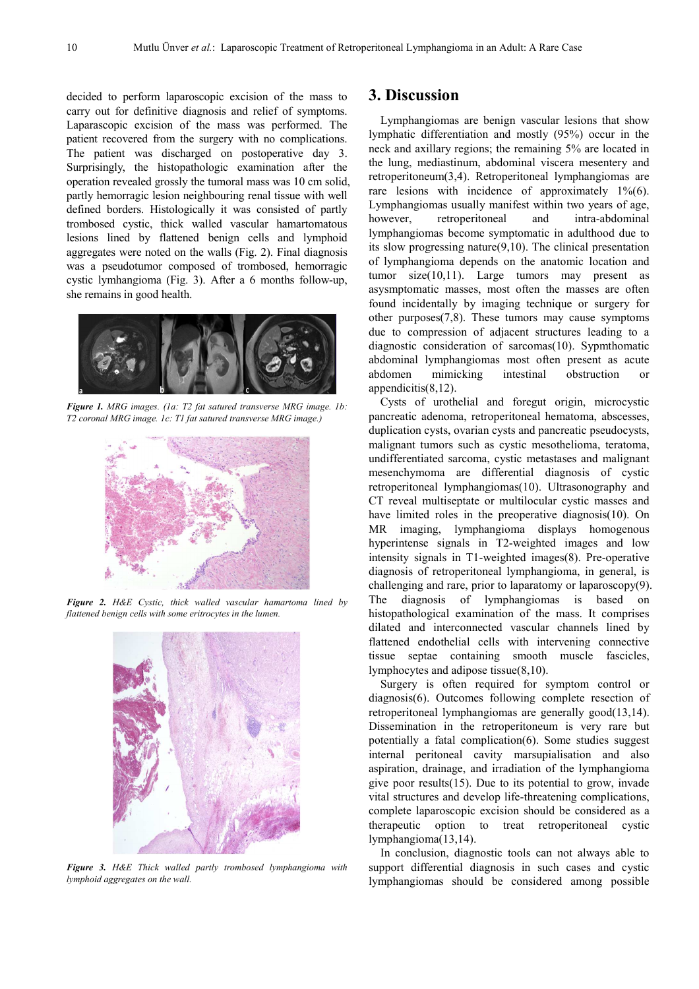decided to perform laparoscopic excision of the mass to carry out for definitive diagnosis and relief of symptoms. Laparascopic excision of the mass was performed. The patient recovered from the surgery with no complications. The patient was discharged on postoperative day 3. Surprisingly, the histopathologic examination after the operation revealed grossly the tumoral mass was 10 cm solid, partly hemorragic lesion neighbouring renal tissue with well defined borders. Histologically it was consisted of partly trombosed cystic, thick walled vascular hamartomatous lesions lined by flattened benign cells and lymphoid aggregates were noted on the walls (Fig. 2). Final diagnosis was a pseudotumor composed of trombosed, hemorragic cystic lymhangioma (Fig. 3). After a 6 months follow-up, she remains in good health.



*Figure 1. MRG images. (1a: T2 fat satured transverse MRG image. 1b: T2 coronal MRG image. 1c: T1 fat satured transverse MRG image.)* 



*Figure 2. H&E Cystic, thick walled vascular hamartoma lined by flattened benign cells with some eritrocytes in the lumen.* 



*Figure 3. H&E Thick walled partly trombosed lymphangioma with lymphoid aggregates on the wall.* 

### **3. Discussion**

Lymphangiomas are benign vascular lesions that show lymphatic differentiation and mostly (95%) occur in the neck and axillary regions; the remaining 5% are located in the lung, mediastinum, abdominal viscera mesentery and retroperitoneum(3,4). Retroperitoneal lymphangiomas are rare lesions with incidence of approximately  $1\frac{6}{6}$ . Lymphangiomas usually manifest within two years of age, however, retroperitoneal and intra-abdominal lymphangiomas become symptomatic in adulthood due to its slow progressing nature(9,10). The clinical presentation of lymphangioma depends on the anatomic location and tumor size(10,11). Large tumors may present as asysmptomatic masses, most often the masses are often found incidentally by imaging technique or surgery for other purposes(7,8). These tumors may cause symptoms due to compression of adjacent structures leading to a diagnostic consideration of sarcomas(10). Sypmthomatic abdominal lymphangiomas most often present as acute abdomen mimicking intestinal obstruction or appendicitis(8,12).

Cysts of urothelial and foregut origin, microcystic pancreatic adenoma, retroperitoneal hematoma, abscesses, duplication cysts, ovarian cysts and pancreatic pseudocysts, malignant tumors such as cystic mesothelioma, teratoma, undifferentiated sarcoma, cystic metastases and malignant mesenchymoma are differential diagnosis of cystic retroperitoneal lymphangiomas(10). Ultrasonography and CT reveal multiseptate or multilocular cystic masses and have limited roles in the preoperative diagnosis(10). On MR imaging, lymphangioma displays homogenous hyperintense signals in T2-weighted images and low intensity signals in T1-weighted images(8). Pre-operative diagnosis of retroperitoneal lymphangioma, in general, is challenging and rare, prior to laparatomy or laparoscopy(9). The diagnosis of lymphangiomas is based on histopathological examination of the mass. It comprises dilated and interconnected vascular channels lined by flattened endothelial cells with intervening connective tissue septae containing smooth muscle fascicles, lymphocytes and adipose tissue(8,10).

Surgery is often required for symptom control or diagnosis(6). Outcomes following complete resection of retroperitoneal lymphangiomas are generally good(13,14). Dissemination in the retroperitoneum is very rare but potentially a fatal complication(6). Some studies suggest internal peritoneal cavity marsupialisation and also aspiration, drainage, and irradiation of the lymphangioma give poor results(15). Due to its potential to grow, invade vital structures and develop life-threatening complications, complete laparoscopic excision should be considered as a therapeutic option to treat retroperitoneal cystic lymphangioma(13,14).

In conclusion, diagnostic tools can not always able to support differential diagnosis in such cases and cystic lymphangiomas should be considered among possible